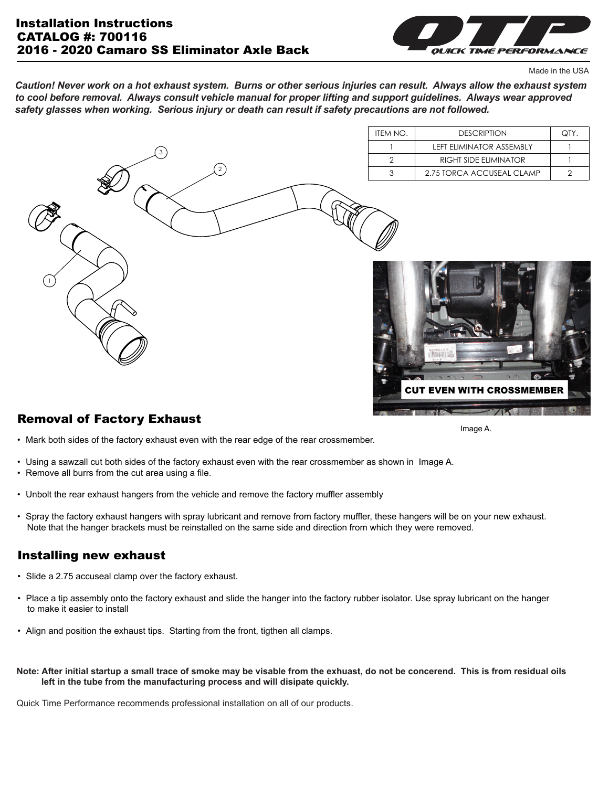

Made in the USA

*Caution! Never work on a hot exhaust system. Burns or other serious injuries can result. Always allow the exhaust system to cool before removal. Always consult vehicle manual for proper lifting and support guidelines. Always wear approved safety glasses when working. Serious injury or death can result if safety precautions are not followed.*



## Removal of Factory Exhaust

• Mark both sides of the factory exhaust even with the rear edge of the rear crossmember.

- Using a sawzall cut both sides of the factory exhaust even with the rear crossmember as shown in Image A.
- Remove all burrs from the cut area using a file.
- Unbolt the rear exhaust hangers from the vehicle and remove the factory muffler assembly
- Spray the factory exhaust hangers with spray lubricant and remove from factory muffler, these hangers will be on your new exhaust. Note that the hanger brackets must be reinstalled on the same side and direction from which they were removed.

#### Installing new exhaust

- Slide a 2.75 accuseal clamp over the factory exhaust.
- Place a tip assembly onto the factory exhaust and slide the hanger into the factory rubber isolator. Use spray lubricant on the hanger to make it easier to install
- Align and position the exhaust tips. Starting from the front, tigthen all clamps.
- **Note: After initial startup a small trace of smoke may be visable from the exhuast, do not be concerend. This is from residual oils left in the tube from the manufacturing process and will disipate quickly.**

Quick Time Performance recommends professional installation on all of our products.

Image A.